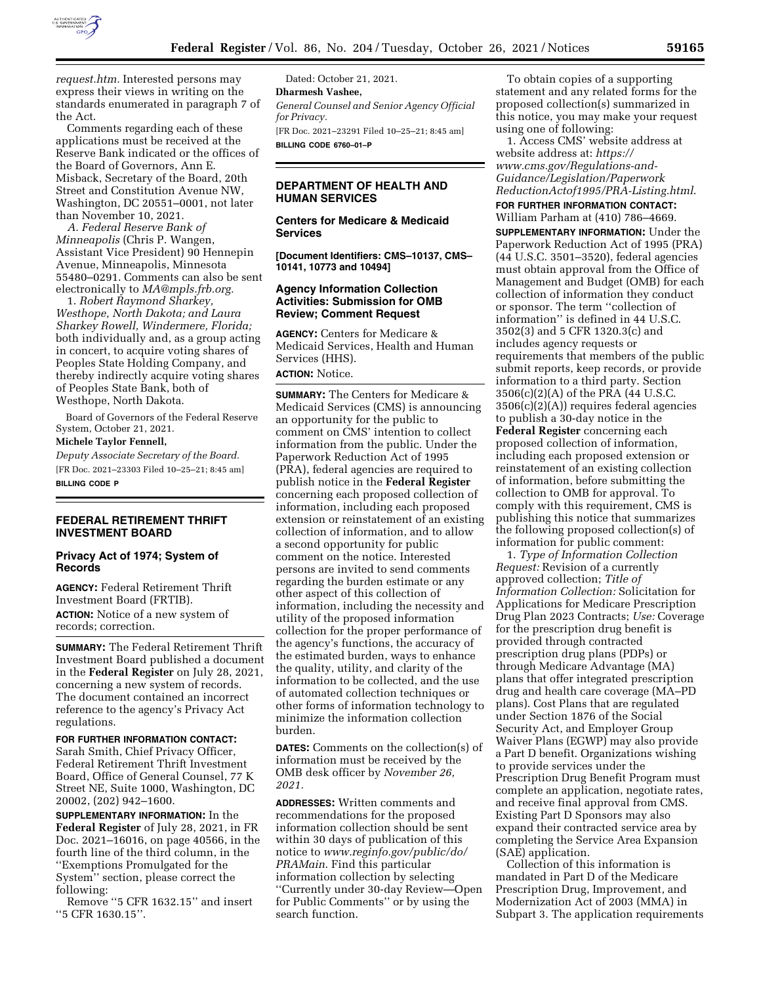

*[request.htm.](https://www.federalreserve.gov/foia/request.htm)* Interested persons may express their views in writing on the standards enumerated in paragraph 7 of the Act.

Comments regarding each of these applications must be received at the Reserve Bank indicated or the offices of the Board of Governors, Ann E. Misback, Secretary of the Board, 20th Street and Constitution Avenue NW, Washington, DC 20551–0001, not later than November 10, 2021.

*A. Federal Reserve Bank of Minneapolis* (Chris P. Wangen, Assistant Vice President) 90 Hennepin Avenue, Minneapolis, Minnesota 55480–0291. Comments can also be sent electronically to *[MA@mpls.frb.org.](mailto:MA@mpls.frb.org)* 

1. *Robert Raymond Sharkey, Westhope, North Dakota; and Laura Sharkey Rowell, Windermere, Florida;*  both individually and, as a group acting in concert, to acquire voting shares of Peoples State Holding Company, and thereby indirectly acquire voting shares of Peoples State Bank, both of Westhope, North Dakota.

Board of Governors of the Federal Reserve System, October 21, 2021.

### **Michele Taylor Fennell,**

*Deputy Associate Secretary of the Board.*  [FR Doc. 2021–23303 Filed 10–25–21; 8:45 am] **BILLING CODE P** 

### **FEDERAL RETIREMENT THRIFT INVESTMENT BOARD**

#### **Privacy Act of 1974; System of Records**

**AGENCY:** Federal Retirement Thrift Investment Board (FRTIB). **ACTION:** Notice of a new system of records; correction.

**SUMMARY:** The Federal Retirement Thrift Investment Board published a document in the **Federal Register** on July 28, 2021, concerning a new system of records. The document contained an incorrect reference to the agency's Privacy Act regulations.

**FOR FURTHER INFORMATION CONTACT:**  Sarah Smith, Chief Privacy Officer, Federal Retirement Thrift Investment Board, Office of General Counsel, 77 K Street NE, Suite 1000, Washington, DC 20002, (202) 942–1600.

**SUPPLEMENTARY INFORMATION:** In the **Federal Register** of July 28, 2021, in FR Doc. 2021–16016, on page 40566, in the fourth line of the third column, in the ''Exemptions Promulgated for the System'' section, please correct the following:

Remove ''5 CFR 1632.15'' and insert ''5 CFR 1630.15''.

Dated: October 21, 2021. **Dharmesh Vashee,**  *General Counsel and Senior Agency Official for Privacy.*  [FR Doc. 2021–23291 Filed 10–25–21; 8:45 am] **BILLING CODE 6760–01–P** 

### **DEPARTMENT OF HEALTH AND HUMAN SERVICES**

**Centers for Medicare & Medicaid Services** 

**[Document Identifiers: CMS–10137, CMS– 10141, 10773 and 10494]** 

### **Agency Information Collection Activities: Submission for OMB Review; Comment Request**

**AGENCY:** Centers for Medicare & Medicaid Services, Health and Human Services (HHS).

## **ACTION:** Notice.

**SUMMARY:** The Centers for Medicare & Medicaid Services (CMS) is announcing an opportunity for the public to comment on CMS' intention to collect information from the public. Under the Paperwork Reduction Act of 1995 (PRA), federal agencies are required to publish notice in the **Federal Register**  concerning each proposed collection of information, including each proposed extension or reinstatement of an existing collection of information, and to allow a second opportunity for public comment on the notice. Interested persons are invited to send comments regarding the burden estimate or any other aspect of this collection of information, including the necessity and utility of the proposed information collection for the proper performance of the agency's functions, the accuracy of the estimated burden, ways to enhance the quality, utility, and clarity of the information to be collected, and the use of automated collection techniques or other forms of information technology to minimize the information collection burden.

**DATES:** Comments on the collection(s) of information must be received by the OMB desk officer by *November 26, 2021.* 

**ADDRESSES:** Written comments and recommendations for the proposed information collection should be sent within 30 days of publication of this notice to *[www.reginfo.gov/public/do/](http://www.reginfo.gov/public/do/PRAMain) [PRAMain](http://www.reginfo.gov/public/do/PRAMain)*. Find this particular information collection by selecting ''Currently under 30-day Review—Open for Public Comments'' or by using the search function.

To obtain copies of a supporting statement and any related forms for the proposed collection(s) summarized in this notice, you may make your request using one of following:

1. Access CMS' website address at website address at: *[https://](https://www.cms.gov/Regulations-and-Guidance/Legislation/PaperworkReductionActof1995/PRA-Listing.html) [www.cms.gov/Regulations-and-](https://www.cms.gov/Regulations-and-Guidance/Legislation/PaperworkReductionActof1995/PRA-Listing.html)[Guidance/Legislation/Paperwork](https://www.cms.gov/Regulations-and-Guidance/Legislation/PaperworkReductionActof1995/PRA-Listing.html) [ReductionActof1995/PRA-Listing.html](https://www.cms.gov/Regulations-and-Guidance/Legislation/PaperworkReductionActof1995/PRA-Listing.html)*.

# **FOR FURTHER INFORMATION CONTACT:**

William Parham at (410) 786–4669. **SUPPLEMENTARY INFORMATION:** Under the Paperwork Reduction Act of 1995 (PRA) (44 U.S.C. 3501–3520), federal agencies must obtain approval from the Office of Management and Budget (OMB) for each collection of information they conduct or sponsor. The term ''collection of information'' is defined in 44 U.S.C. 3502(3) and 5 CFR 1320.3(c) and includes agency requests or requirements that members of the public submit reports, keep records, or provide information to a third party. Section 3506(c)(2)(A) of the PRA (44 U.S.C. 3506(c)(2)(A)) requires federal agencies to publish a 30-day notice in the **Federal Register** concerning each proposed collection of information, including each proposed extension or reinstatement of an existing collection of information, before submitting the collection to OMB for approval. To comply with this requirement, CMS is publishing this notice that summarizes the following proposed collection(s) of information for public comment:

1. *Type of Information Collection Request:* Revision of a currently approved collection; *Title of Information Collection:* Solicitation for Applications for Medicare Prescription Drug Plan 2023 Contracts; *Use:* Coverage for the prescription drug benefit is provided through contracted prescription drug plans (PDPs) or through Medicare Advantage (MA) plans that offer integrated prescription drug and health care coverage (MA–PD plans). Cost Plans that are regulated under Section 1876 of the Social Security Act, and Employer Group Waiver Plans (EGWP) may also provide a Part D benefit. Organizations wishing to provide services under the Prescription Drug Benefit Program must complete an application, negotiate rates, and receive final approval from CMS. Existing Part D Sponsors may also expand their contracted service area by completing the Service Area Expansion (SAE) application.

Collection of this information is mandated in Part D of the Medicare Prescription Drug, Improvement, and Modernization Act of 2003 (MMA) in Subpart 3. The application requirements